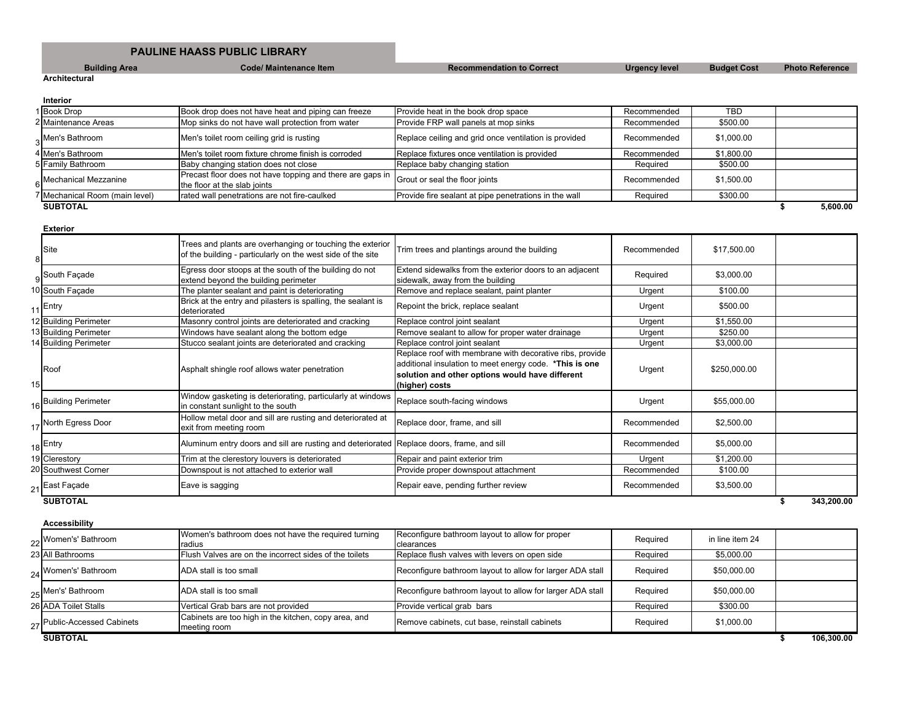## **PAULINE HAASS PUBLIC LIBRARY**

**Building Area Code/ Maintenance Item Recommendation to Correct Urgency level Budget Cost Photo Reference** 

**Architectural**

**Interior**

| ппеног                         |                                                                                                                          |                                                       |             |            |          |
|--------------------------------|--------------------------------------------------------------------------------------------------------------------------|-------------------------------------------------------|-------------|------------|----------|
| 1 Book Drop                    | Book drop does not have heat and piping can freeze                                                                       | Provide heat in the book drop space                   | Recommended | TBD        |          |
| 2 Maintenance Areas            | Mop sinks do not have wall protection from water                                                                         | Provide FRP wall panels at mop sinks                  | Recommended | \$500.00   |          |
| 3 <sup>Men's</sup> Bathroom    | Men's toilet room ceiling grid is rusting                                                                                | Replace ceiling and grid once ventilation is provided | Recommended | \$1,000.00 |          |
| 4 Men's Bathroom               | Men's toilet room fixture chrome finish is corroded                                                                      | Replace fixtures once ventilation is provided         | Recommended | \$1,800.00 |          |
| 5 Family Bathroom              | Baby changing station does not close                                                                                     | Replace baby changing station                         | Required    | \$500.00   |          |
| 6 Mechanical Mezzanine         | Precast floor does not have topping and there are gaps in Grout or seal the floor joints<br>the floor at the slab joints |                                                       | Recommended | \$1,500.00 |          |
| 7 Mechanical Room (main level) | rated wall penetrations are not fire-caulked                                                                             | Provide fire sealant at pipe penetrations in the wall | Required    | \$300.00   |          |
| <b>SUBTOTAL</b>                |                                                                                                                          |                                                       |             |            | 5.600.00 |

**Exterior** 8 Site Trees and plants are overhanging or touching the exterior<br>
Site Transfer the children and included and the uncertainty of the site Trees and plants are overnariging or touching the exterior Trim trees and plantings around the building Recommended \$17,500.00 9 Egress door stoops at the south of the building do not<br>South Façade Equation of the building a structure extend beyond the building perimeter Extend sidewalks from the exterior doors to an adjacent Exteria sidewalks from the exterior doors to an adjacent Required \$3,000.00<br>sidewalk, away from the building 10 South Façade The planter sealant and paint is deteriorating Remove and replace sealant, paint planter Vigent Urgent \$100.00  $11$  Entry **Brick at the entry and pilasters is spalling**, the sealant is deteriorated Repoint the brick, replace sealant Urgent \$500.00<br>
Replace control joint sealant Urgent \$1,550.00 12 Building Perimeter Masonry control joints are deteriorated and cracking 13 Building Perimeter Windows have sealant along the bottom edge Remove sealant to allow for proper water drainage Urgent \$250.00 14 Building Perimeter Stucco sealant joints are deteriorated and cracking Replace control joint sealant Virgent Urgent \$3,000.00 15 Roof Roof **Asphalt shingle roof allows water penetration** Replace roof with membrane with decorative ribs, provide additional insulation to meet energy code. **\*This is one solution and other options would have different (higher) costs** Urgent | \$250,000.00 16 Building Perimeter Window gasketing is deteriorating, particularly at windows<br>in constant sunlight to the south In constant sunlight to the south windows<br>in constant sunlight to the south windows and Replace south-facing windows in constant sunlight to the south of 17 North Egress Door Hollow metal door and sill are rusting and deteriorated at exit from meeting room Replace door, frame, and sill **Recommended** \$2,500.00 18 Entry **Aluminum entry doors and sill are rusting and deteriorated** Replace doors, frame, and sill **Recommended** Recommended \$5,000.00 19 Clerestory **Trim at the clerestory louvers is deteriorated** Repair and paint exterior trim **Trim at 1,200.00** 20 Southwest Corner **Downspout is not attached to exterior wall** Provide proper downspout attachment Recommended \$100.00 21 East Façade **Eave is sagging Carrier Constructed** Repair eave, pending further review Recommended \$3,500.00 **SUBTOTAL \$ 343,200.00**

# **Accessibility**

| <b>ACCESSIDIIITY</b>        |                                                                      |                                                                        |          |                 |            |
|-----------------------------|----------------------------------------------------------------------|------------------------------------------------------------------------|----------|-----------------|------------|
| 22 Women's' Bathroom        | Women's bathroom does not have the required turning<br>radius        | Reconfigure bathroom layout to allow for proper<br><b>I</b> clearances | Required | in line item 24 |            |
| 23 All Bathrooms            | Flush Valves are on the incorrect sides of the toilets               | Replace flush valves with levers on open side                          | Required | \$5,000.00      |            |
| 24 Women's' Bathroom        | ADA stall is too small                                               | Reconfigure bathroom layout to allow for larger ADA stall              | Required | \$50,000.00     |            |
| 25 Men's' Bathroom          | ADA stall is too small                                               | Reconfigure bathroom layout to allow for larger ADA stall              | Required | \$50,000.00     |            |
| 26 ADA Toilet Stalls        | Vertical Grab bars are not provided                                  | Provide vertical grab bars                                             | Required | \$300.00        |            |
| 27 Public-Accessed Cabinets | Cabinets are too high in the kitchen, copy area, and<br>meeting room | Remove cabinets, cut base, reinstall cabinets                          | Required | \$1,000.00      |            |
| <b>SUBTOTAL</b>             |                                                                      |                                                                        |          |                 | 106.300.00 |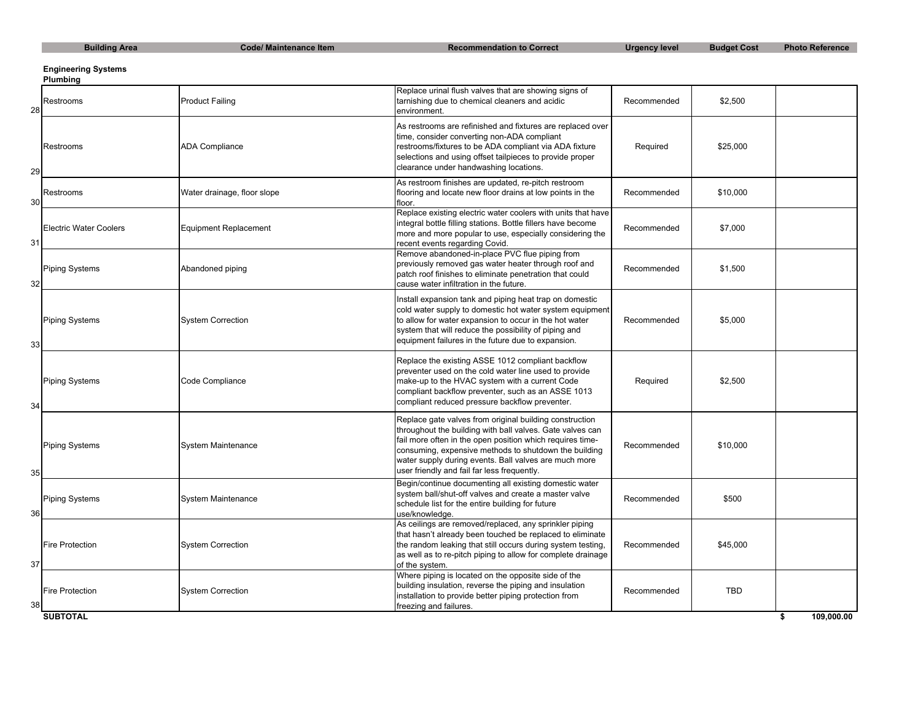| ding Area |  |
|-----------|--|
|           |  |

**Building Area** Code/ Maintenance Item Recommendation to Correct Urgency level Budget Cost Photo Reference

## **Engineering Systems**

**Plumbing**

| 28 | Restrooms                     | <b>Product Failing</b>       | Replace urinal flush valves that are showing signs of<br>tarnishing due to chemical cleaners and acidic<br>environment.                                                                                                                                                                                                                            | Recommended | \$2,500    |                  |
|----|-------------------------------|------------------------------|----------------------------------------------------------------------------------------------------------------------------------------------------------------------------------------------------------------------------------------------------------------------------------------------------------------------------------------------------|-------------|------------|------------------|
| 29 | Restrooms                     | <b>ADA Compliance</b>        | As restrooms are refinished and fixtures are replaced over<br>time, consider converting non-ADA compliant<br>restrooms/fixtures to be ADA compliant via ADA fixture<br>selections and using offset tailpieces to provide proper<br>clearance under handwashing locations.                                                                          | Required    | \$25,000   |                  |
| 30 | Restrooms                     | Water drainage, floor slope  | As restroom finishes are updated, re-pitch restroom<br>flooring and locate new floor drains at low points in the<br>floor.                                                                                                                                                                                                                         | Recommended | \$10,000   |                  |
| 31 | <b>Electric Water Coolers</b> | <b>Equipment Replacement</b> | Replace existing electric water coolers with units that have<br>integral bottle filling stations. Bottle fillers have become<br>more and more popular to use, especially considering the<br>recent events regarding Covid.                                                                                                                         | Recommended | \$7,000    |                  |
| 32 | <b>Piping Systems</b>         | Abandoned piping             | Remove abandoned-in-place PVC flue piping from<br>previously removed gas water heater through roof and<br>patch roof finishes to eliminate penetration that could<br>cause water infiltration in the future.                                                                                                                                       | Recommended | \$1,500    |                  |
| 33 | <b>Piping Systems</b>         | <b>System Correction</b>     | Install expansion tank and piping heat trap on domestic<br>cold water supply to domestic hot water system equipment<br>to allow for water expansion to occur in the hot water<br>system that will reduce the possibility of piping and<br>equipment failures in the future due to expansion.                                                       | Recommended | \$5,000    |                  |
| 34 | <b>Piping Systems</b>         | Code Compliance              | Replace the existing ASSE 1012 compliant backflow<br>preventer used on the cold water line used to provide<br>make-up to the HVAC system with a current Code<br>compliant backflow preventer, such as an ASSE 1013<br>compliant reduced pressure backflow preventer.                                                                               | Required    | \$2,500    |                  |
| 35 | <b>Piping Systems</b>         | System Maintenance           | Replace gate valves from original building construction<br>throughout the building with ball valves. Gate valves can<br>fail more often in the open position which requires time-<br>consuming, expensive methods to shutdown the building<br>water supply during events. Ball valves are much more<br>user friendly and fail far less frequently. | Recommended | \$10,000   |                  |
| 36 | <b>Piping Systems</b>         | <b>System Maintenance</b>    | Begin/continue documenting all existing domestic water<br>system ball/shut-off valves and create a master valve<br>schedule list for the entire building for future<br>use/knowledge.                                                                                                                                                              | Recommended | \$500      |                  |
| 37 | <b>Fire Protection</b>        | <b>System Correction</b>     | As ceilings are removed/replaced, any sprinkler piping<br>that hasn't already been touched be replaced to eliminate<br>the random leaking that still occurs during system testing,<br>as well as to re-pitch piping to allow for complete drainage<br>of the system.                                                                               | Recommended | \$45,000   |                  |
|    | <b>Fire Protection</b>        | <b>System Correction</b>     | Where piping is located on the opposite side of the<br>building insulation, reverse the piping and insulation<br>installation to provide better piping protection from<br>freezing and failures.                                                                                                                                                   | Recommended | <b>TBD</b> |                  |
|    | <b>SUBTOTAL</b>               |                              |                                                                                                                                                                                                                                                                                                                                                    |             |            | \$<br>109.000.00 |